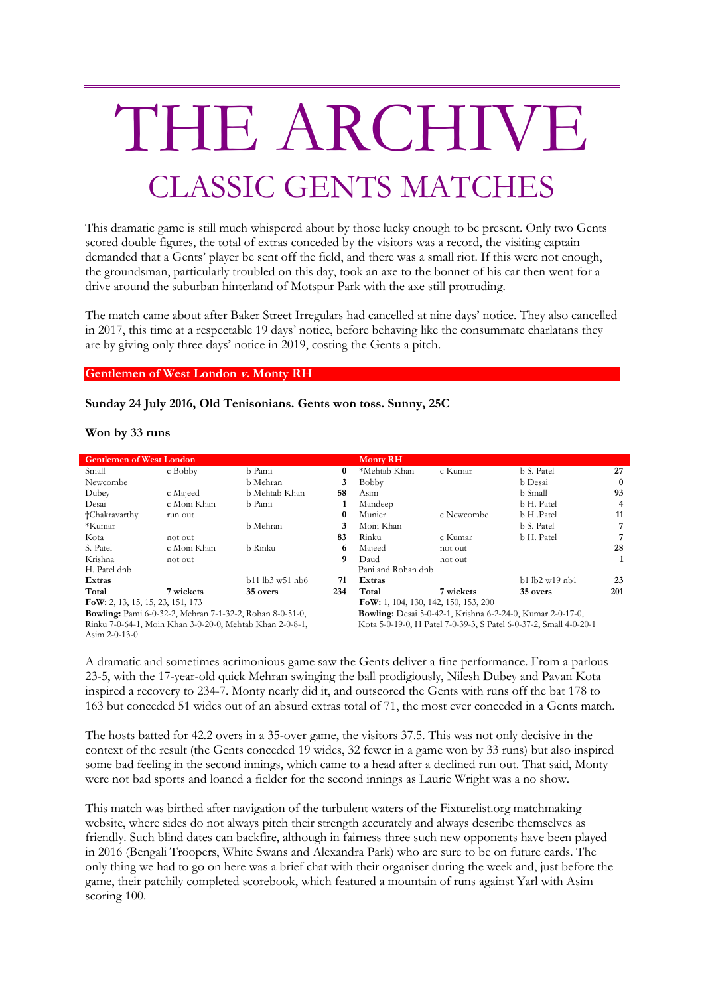## THE ARCHIVE CLASSIC GENTS MATCHES

This dramatic game is still much whispered about by those lucky enough to be present. Only two Gents scored double figures, the total of extras conceded by the visitors was a record, the visiting captain demanded that a Gents' player be sent off the field, and there was a small riot. If this were not enough, the groundsman, particularly troubled on this day, took an axe to the bonnet of his car then went for a drive around the suburban hinterland of Motspur Park with the axe still protruding.

The match came about after Baker Street Irregulars had cancelled at nine days' notice. They also cancelled in 2017, this time at a respectable 19 days' notice, before behaving like the consummate charlatans they are by giving only three days' notice in 2019, costing the Gents a pitch.

**Gentlemen of West London v. Monty RH**

## **Sunday 24 July 2016, Old Tenisonians. Gents won toss. Sunny, 25C**

## **Won by 33 runs**

| <b>Gentlemen of West London</b>                                 |             |                   |          | <b>Monty RH</b>                                                   |            |                                   |     |
|-----------------------------------------------------------------|-------------|-------------------|----------|-------------------------------------------------------------------|------------|-----------------------------------|-----|
| Small                                                           | c Bobby     | b Pami            | $\bf{0}$ | *Mehtab Khan                                                      | c Kumar    | b S. Patel                        | 27  |
| Newcombe                                                        |             | b Mehran          | 3        | <b>Bobby</b>                                                      |            | b Desai                           | 0   |
| Dubey                                                           | c Majeed    | b Mehtab Khan     | 58       | Asim                                                              |            | b Small                           | 93  |
| Desai                                                           | c Moin Khan | b Pami            |          | Mandeep                                                           |            | b H. Patel                        | 4   |
| †Chakravarthy                                                   | run out     |                   | 0        | Munier                                                            | c Newcombe | b H .Patel                        | 11  |
| *Kumar                                                          |             | b Mehran          | 3        | Moin Khan                                                         |            | b S. Patel                        |     |
| Kota                                                            | not out     |                   | 83       | Rinku                                                             | c Kumar    | b H. Patel                        |     |
| S. Patel                                                        | c Moin Khan | b Rinku           | 6        | Majeed                                                            | not out    |                                   | 28  |
| Krishna                                                         | not out     |                   | 9        | Daud                                                              | not out    |                                   |     |
| H. Patel dnb                                                    |             |                   |          | Pani and Rohan dnb                                                |            |                                   |     |
| Extras                                                          |             | $b11$ lb3 w51 nb6 | 71       | Extras                                                            |            | $h1$ l $h2$ w <sub>19</sub> $nh1$ | 23  |
| Total                                                           | 7 wickets   | 35 overs          | 234      | Total                                                             | 7 wickets  | 35 overs                          | 201 |
| FoW: 2, 13, 15, 15, 23, 151, 173                                |             |                   |          | FoW: 1, 104, 130, 142, 150, 153, 200                              |            |                                   |     |
| <b>Bowling:</b> Pami 6-0-32-2, Mehran 7-1-32-2, Rohan 8-0-51-0, |             |                   |          | <b>Bowling:</b> Desai 5-0-42-1, Krishna 6-2-24-0, Kumar 2-0-17-0, |            |                                   |     |
| Rinku 7-0-64-1, Moin Khan 3-0-20-0, Mehtab Khan 2-0-8-1,        |             |                   |          | Kota 5-0-19-0, H Patel 7-0-39-3, S Patel 6-0-37-2, Small 4-0-20-1 |            |                                   |     |
| Asim $2-0-13-0$                                                 |             |                   |          |                                                                   |            |                                   |     |

A dramatic and sometimes acrimonious game saw the Gents deliver a fine performance. From a parlous 23-5, with the 17-year-old quick Mehran swinging the ball prodigiously, Nilesh Dubey and Pavan Kota inspired a recovery to 234-7. Monty nearly did it, and outscored the Gents with runs off the bat 178 to 163 but conceded 51 wides out of an absurd extras total of 71, the most ever conceded in a Gents match.

The hosts batted for 42.2 overs in a 35-over game, the visitors 37.5. This was not only decisive in the context of the result (the Gents conceded 19 wides, 32 fewer in a game won by 33 runs) but also inspired some bad feeling in the second innings, which came to a head after a declined run out. That said, Monty were not bad sports and loaned a fielder for the second innings as Laurie Wright was a no show.

This match was birthed after navigation of the turbulent waters of the Fixturelist.org matchmaking website, where sides do not always pitch their strength accurately and always describe themselves as friendly. Such blind dates can backfire, although in fairness three such new opponents have been played in 2016 (Bengali Troopers, White Swans and Alexandra Park) who are sure to be on future cards. The only thing we had to go on here was a brief chat with their organiser during the week and, just before the game, their patchily completed scorebook, which featured a mountain of runs against Yarl with Asim scoring 100.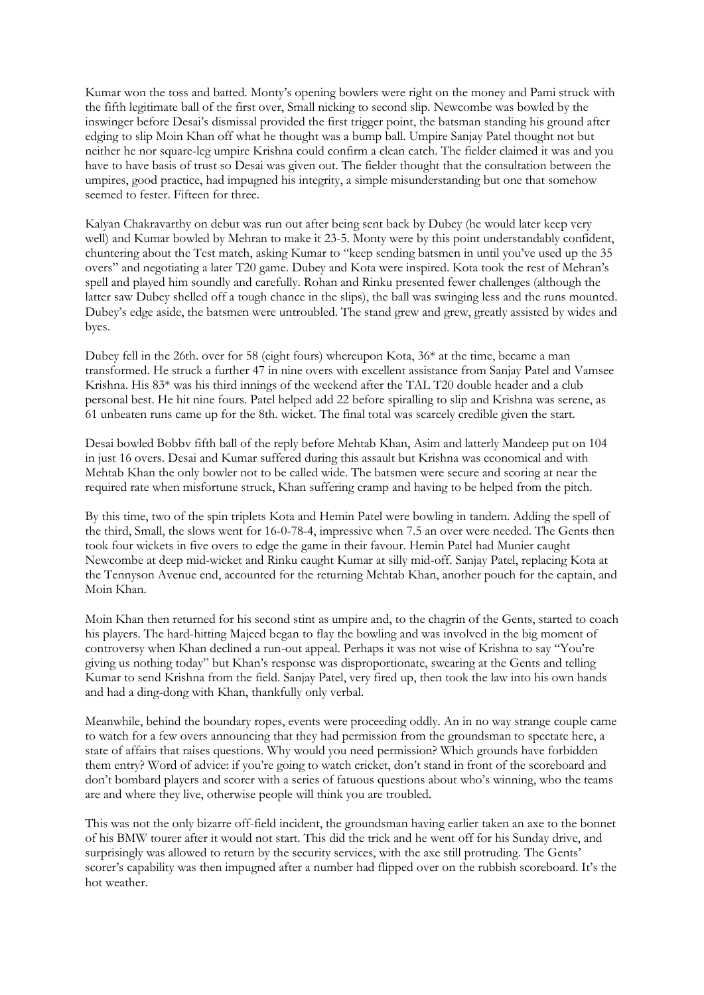Kumar won the toss and batted. Monty's opening bowlers were right on the money and Pami struck with the fifth legitimate ball of the first over, Small nicking to second slip. Newcombe was bowled by the inswinger before Desai's dismissal provided the first trigger point, the batsman standing his ground after edging to slip Moin Khan off what he thought was a bump ball. Umpire Sanjay Patel thought not but neither he nor square-leg umpire Krishna could confirm a clean catch. The fielder claimed it was and you have to have basis of trust so Desai was given out. The fielder thought that the consultation between the umpires, good practice, had impugned his integrity, a simple misunderstanding but one that somehow seemed to fester. Fifteen for three.

Kalyan Chakravarthy on debut was run out after being sent back by Dubey (he would later keep very well) and Kumar bowled by Mehran to make it 23-5. Monty were by this point understandably confident, chuntering about the Test match, asking Kumar to "keep sending batsmen in until you've used up the 35 overs" and negotiating a later T20 game. Dubey and Kota were inspired. Kota took the rest of Mehran's spell and played him soundly and carefully. Rohan and Rinku presented fewer challenges (although the latter saw Dubey shelled off a tough chance in the slips), the ball was swinging less and the runs mounted. Dubey's edge aside, the batsmen were untroubled. The stand grew and grew, greatly assisted by wides and byes.

Dubey fell in the 26th. over for 58 (eight fours) whereupon Kota, 36\* at the time, became a man transformed. He struck a further 47 in nine overs with excellent assistance from Sanjay Patel and Vamsee Krishna. His 83\* was his third innings of the weekend after the TAL T20 double header and a club personal best. He hit nine fours. Patel helped add 22 before spiralling to slip and Krishna was serene, as 61 unbeaten runs came up for the 8th. wicket. The final total was scarcely credible given the start.

Desai bowled Bobbv fifth ball of the reply before Mehtab Khan, Asim and latterly Mandeep put on 104 in just 16 overs. Desai and Kumar suffered during this assault but Krishna was economical and with Mehtab Khan the only bowler not to be called wide. The batsmen were secure and scoring at near the required rate when misfortune struck, Khan suffering cramp and having to be helped from the pitch.

By this time, two of the spin triplets Kota and Hemin Patel were bowling in tandem. Adding the spell of the third, Small, the slows went for 16-0-78-4, impressive when 7.5 an over were needed. The Gents then took four wickets in five overs to edge the game in their favour. Hemin Patel had Munier caught Newcombe at deep mid-wicket and Rinku caught Kumar at silly mid-off. Sanjay Patel, replacing Kota at the Tennyson Avenue end, accounted for the returning Mehtab Khan, another pouch for the captain, and Moin Khan.

Moin Khan then returned for his second stint as umpire and, to the chagrin of the Gents, started to coach his players. The hard-hitting Majeed began to flay the bowling and was involved in the big moment of controversy when Khan declined a run-out appeal. Perhaps it was not wise of Krishna to say "You're giving us nothing today" but Khan's response was disproportionate, swearing at the Gents and telling Kumar to send Krishna from the field. Sanjay Patel, very fired up, then took the law into his own hands and had a ding-dong with Khan, thankfully only verbal.

Meanwhile, behind the boundary ropes, events were proceeding oddly. An in no way strange couple came to watch for a few overs announcing that they had permission from the groundsman to spectate here, a state of affairs that raises questions. Why would you need permission? Which grounds have forbidden them entry? Word of advice: if you're going to watch cricket, don't stand in front of the scoreboard and don't bombard players and scorer with a series of fatuous questions about who's winning, who the teams are and where they live, otherwise people will think you are troubled.

This was not the only bizarre off-field incident, the groundsman having earlier taken an axe to the bonnet of his BMW tourer after it would not start. This did the trick and he went off for his Sunday drive, and surprisingly was allowed to return by the security services, with the axe still protruding. The Gents' scorer's capability was then impugned after a number had flipped over on the rubbish scoreboard. It's the hot weather.